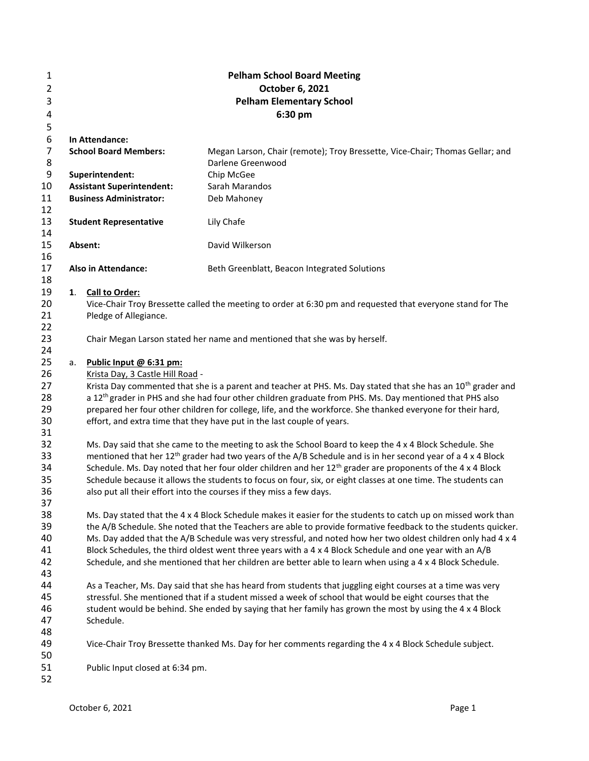| 1              |    |                                                                                                                          | <b>Pelham School Board Meeting</b>                                                                                                                                                                                             |  |  |  |  |  |
|----------------|----|--------------------------------------------------------------------------------------------------------------------------|--------------------------------------------------------------------------------------------------------------------------------------------------------------------------------------------------------------------------------|--|--|--|--|--|
| $\overline{2}$ |    |                                                                                                                          | October 6, 2021                                                                                                                                                                                                                |  |  |  |  |  |
| 3              |    | <b>Pelham Elementary School</b>                                                                                          |                                                                                                                                                                                                                                |  |  |  |  |  |
| 4              |    | 6:30 pm                                                                                                                  |                                                                                                                                                                                                                                |  |  |  |  |  |
| 5              |    |                                                                                                                          |                                                                                                                                                                                                                                |  |  |  |  |  |
| 6              |    | In Attendance:                                                                                                           |                                                                                                                                                                                                                                |  |  |  |  |  |
| $\overline{7}$ |    | <b>School Board Members:</b>                                                                                             | Megan Larson, Chair (remote); Troy Bressette, Vice-Chair; Thomas Gellar; and                                                                                                                                                   |  |  |  |  |  |
| 8              |    |                                                                                                                          | Darlene Greenwood                                                                                                                                                                                                              |  |  |  |  |  |
| 9              |    | Superintendent:                                                                                                          | Chip McGee                                                                                                                                                                                                                     |  |  |  |  |  |
| 10             |    | <b>Assistant Superintendent:</b>                                                                                         | Sarah Marandos                                                                                                                                                                                                                 |  |  |  |  |  |
| 11             |    | <b>Business Administrator:</b>                                                                                           | Deb Mahoney                                                                                                                                                                                                                    |  |  |  |  |  |
| 12             |    |                                                                                                                          |                                                                                                                                                                                                                                |  |  |  |  |  |
| 13             |    | <b>Student Representative</b>                                                                                            | Lily Chafe                                                                                                                                                                                                                     |  |  |  |  |  |
| 14             |    |                                                                                                                          |                                                                                                                                                                                                                                |  |  |  |  |  |
| 15             |    | Absent:                                                                                                                  | David Wilkerson                                                                                                                                                                                                                |  |  |  |  |  |
| 16             |    |                                                                                                                          |                                                                                                                                                                                                                                |  |  |  |  |  |
| 17             |    | <b>Also in Attendance:</b>                                                                                               | Beth Greenblatt, Beacon Integrated Solutions                                                                                                                                                                                   |  |  |  |  |  |
| 18             |    |                                                                                                                          |                                                                                                                                                                                                                                |  |  |  |  |  |
| 19<br>20       | 1. | Call to Order:                                                                                                           | Vice-Chair Troy Bressette called the meeting to order at 6:30 pm and requested that everyone stand for The                                                                                                                     |  |  |  |  |  |
| 21             |    | Pledge of Allegiance.                                                                                                    |                                                                                                                                                                                                                                |  |  |  |  |  |
| 22             |    |                                                                                                                          |                                                                                                                                                                                                                                |  |  |  |  |  |
| 23             |    |                                                                                                                          | Chair Megan Larson stated her name and mentioned that she was by herself.                                                                                                                                                      |  |  |  |  |  |
| 24             |    |                                                                                                                          |                                                                                                                                                                                                                                |  |  |  |  |  |
| 25             | a. | Public Input @ 6:31 pm:                                                                                                  |                                                                                                                                                                                                                                |  |  |  |  |  |
| 26             |    | Krista Day, 3 Castle Hill Road -                                                                                         |                                                                                                                                                                                                                                |  |  |  |  |  |
| 27             |    | Krista Day commented that she is a parent and teacher at PHS. Ms. Day stated that she has an 10 <sup>th</sup> grader and |                                                                                                                                                                                                                                |  |  |  |  |  |
| 28             |    | a 12 <sup>th</sup> grader in PHS and she had four other children graduate from PHS. Ms. Day mentioned that PHS also      |                                                                                                                                                                                                                                |  |  |  |  |  |
| 29             |    |                                                                                                                          | prepared her four other children for college, life, and the workforce. She thanked everyone for their hard,                                                                                                                    |  |  |  |  |  |
| 30             |    |                                                                                                                          | effort, and extra time that they have put in the last couple of years.                                                                                                                                                         |  |  |  |  |  |
| 31             |    |                                                                                                                          |                                                                                                                                                                                                                                |  |  |  |  |  |
| 32             |    |                                                                                                                          | Ms. Day said that she came to the meeting to ask the School Board to keep the 4 x 4 Block Schedule. She                                                                                                                        |  |  |  |  |  |
| 33             |    |                                                                                                                          | mentioned that her 12 <sup>th</sup> grader had two years of the A/B Schedule and is in her second year of a 4 x 4 Block                                                                                                        |  |  |  |  |  |
| 34             |    |                                                                                                                          | Schedule. Ms. Day noted that her four older children and her 12 <sup>th</sup> grader are proponents of the 4 x 4 Block                                                                                                         |  |  |  |  |  |
| 35             |    |                                                                                                                          | Schedule because it allows the students to focus on four, six, or eight classes at one time. The students can                                                                                                                  |  |  |  |  |  |
| 36             |    |                                                                                                                          | also put all their effort into the courses if they miss a few days.                                                                                                                                                            |  |  |  |  |  |
| 37<br>38       |    |                                                                                                                          |                                                                                                                                                                                                                                |  |  |  |  |  |
| 39             |    |                                                                                                                          | Ms. Day stated that the 4 x 4 Block Schedule makes it easier for the students to catch up on missed work than<br>the A/B Schedule. She noted that the Teachers are able to provide formative feedback to the students quicker. |  |  |  |  |  |
| 40             |    |                                                                                                                          | Ms. Day added that the A/B Schedule was very stressful, and noted how her two oldest children only had 4 x 4                                                                                                                   |  |  |  |  |  |
| 41             |    |                                                                                                                          | Block Schedules, the third oldest went three years with a 4 x 4 Block Schedule and one year with an A/B                                                                                                                        |  |  |  |  |  |
| 42             |    |                                                                                                                          | Schedule, and she mentioned that her children are better able to learn when using a 4 x 4 Block Schedule.                                                                                                                      |  |  |  |  |  |
| 43             |    |                                                                                                                          |                                                                                                                                                                                                                                |  |  |  |  |  |
| 44             |    |                                                                                                                          | As a Teacher, Ms. Day said that she has heard from students that juggling eight courses at a time was very                                                                                                                     |  |  |  |  |  |
| 45             |    |                                                                                                                          | stressful. She mentioned that if a student missed a week of school that would be eight courses that the                                                                                                                        |  |  |  |  |  |
| 46             |    |                                                                                                                          | student would be behind. She ended by saying that her family has grown the most by using the 4 x 4 Block                                                                                                                       |  |  |  |  |  |
| 47             |    | Schedule.                                                                                                                |                                                                                                                                                                                                                                |  |  |  |  |  |
| 48             |    |                                                                                                                          |                                                                                                                                                                                                                                |  |  |  |  |  |
| 49             |    |                                                                                                                          | Vice-Chair Troy Bressette thanked Ms. Day for her comments regarding the 4 x 4 Block Schedule subject.                                                                                                                         |  |  |  |  |  |
| 50             |    |                                                                                                                          |                                                                                                                                                                                                                                |  |  |  |  |  |
| 51             |    | Public Input closed at 6:34 pm.                                                                                          |                                                                                                                                                                                                                                |  |  |  |  |  |
| 52             |    |                                                                                                                          |                                                                                                                                                                                                                                |  |  |  |  |  |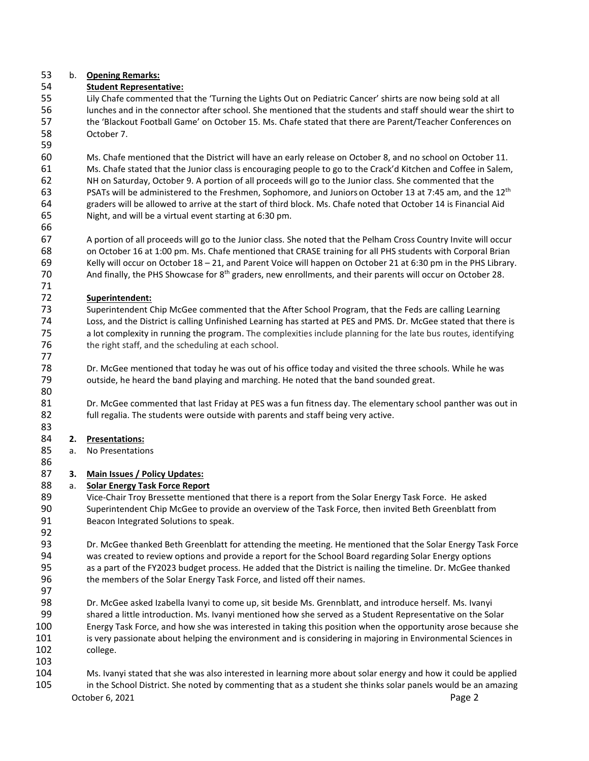## b. **Opening Remarks:**

# **Student Representative:**

 Lily Chafe commented that the 'Turning the Lights Out on Pediatric Cancer' shirts are now being sold at all lunches and in the connector after school. She mentioned that the students and staff should wear the shirt to the 'Blackout Football Game' on October 15. Ms. Chafe stated that there are Parent/Teacher Conferences on October 7.

 Ms. Chafe mentioned that the District will have an early release on October 8, and no school on October 11. Ms. Chafe stated that the Junior class is encouraging people to go to the Crack'd Kitchen and Coffee in Salem, NH on Saturday, October 9. A portion of all proceeds will go to the Junior class. She commented that the 63 PSATs will be administered to the Freshmen, Sophomore, and Juniors on October 13 at 7:45 am, and the 12<sup>th</sup> graders will be allowed to arrive at the start of third block. Ms. Chafe noted that October 14 is Financial Aid Night, and will be a virtual event starting at 6:30 pm.

 A portion of all proceeds will go to the Junior class. She noted that the Pelham Cross Country Invite will occur on October 16 at 1:00 pm. Ms. Chafe mentioned that CRASE training for all PHS students with Corporal Brian Kelly will occur on October 18 – 21, and Parent Voice will happen on October 21 at 6:30 pm in the PHS Library. 70 And finally, the PHS Showcase for  $8^{th}$  graders, new enrollments, and their parents will occur on October 28.

## **Superintendent:**

 Superintendent Chip McGee commented that the After School Program, that the Feds are calling Learning Loss, and the District is calling Unfinished Learning has started at PES and PMS. Dr. McGee stated that there is a lot complexity in running the program. The complexities include planning for the late bus routes, identifying 76 the right staff, and the scheduling at each school.

78 Dr. McGee mentioned that today he was out of his office today and visited the three schools. While he was 79 outside, he heard the band playing and marching. He noted that the band sounded great. outside, he heard the band playing and marching. He noted that the band sounded great. 

81 Dr. McGee commented that last Friday at PES was a fun fitness day. The elementary school panther was out in 82 full regalia. The students were outside with parents and staff being very active.

# **2. Presentations:**

a. No Presentations

# **3. Main Issues / Policy Updates:**

# a. **Solar Energy Task Force Report**

 Vice-Chair Troy Bressette mentioned that there is a report from the Solar Energy Task Force. He asked Superintendent Chip McGee to provide an overview of the Task Force, then invited Beth Greenblatt from Beacon Integrated Solutions to speak.

 Dr. McGee thanked Beth Greenblatt for attending the meeting. He mentioned that the Solar Energy Task Force was created to review options and provide a report for the School Board regarding Solar Energy options as a part of the FY2023 budget process. He added that the District is nailing the timeline. Dr. McGee thanked 96 the members of the Solar Energy Task Force, and listed off their names.

 Dr. McGee asked Izabella Ivanyi to come up, sit beside Ms. Grennblatt, and introduce herself. Ms. Ivanyi shared a little introduction. Ms. Ivanyi mentioned how she served as a Student Representative on the Solar Energy Task Force, and how she was interested in taking this position when the opportunity arose because she is very passionate about helping the environment and is considering in majoring in Environmental Sciences in college.

October 6, 2021 **Page 2**  Ms. Ivanyi stated that she was also interested in learning more about solar energy and how it could be applied in the School District. She noted by commenting that as a student she thinks solar panels would be an amazing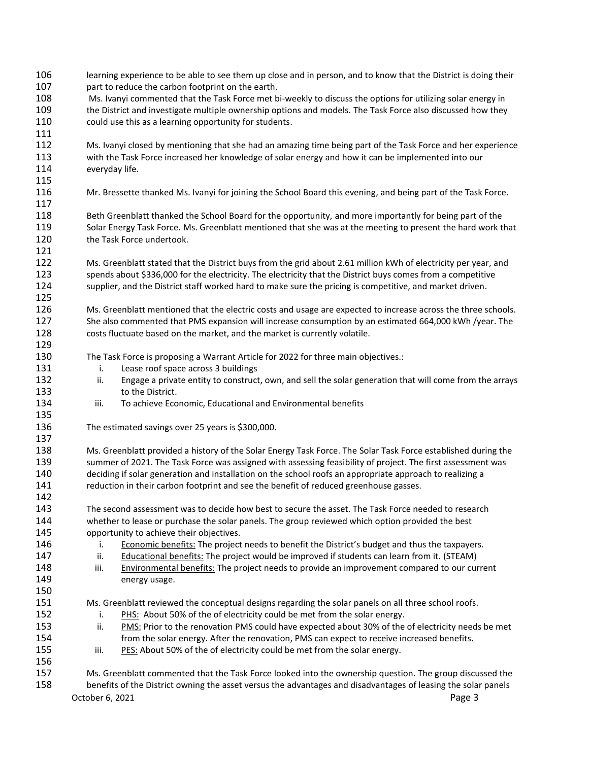| 106<br>107<br>108<br>109<br>110<br>111 | learning experience to be able to see them up close and in person, and to know that the District is doing their<br>part to reduce the carbon footprint on the earth.<br>Ms. Ivanyi commented that the Task Force met bi-weekly to discuss the options for utilizing solar energy in<br>the District and investigate multiple ownership options and models. The Task Force also discussed how they<br>could use this as a learning opportunity for students.                          |  |  |  |  |
|----------------------------------------|--------------------------------------------------------------------------------------------------------------------------------------------------------------------------------------------------------------------------------------------------------------------------------------------------------------------------------------------------------------------------------------------------------------------------------------------------------------------------------------|--|--|--|--|
| 112<br>113<br>114<br>115               | Ms. Ivanyi closed by mentioning that she had an amazing time being part of the Task Force and her experience<br>with the Task Force increased her knowledge of solar energy and how it can be implemented into our<br>everyday life.                                                                                                                                                                                                                                                 |  |  |  |  |
| 116<br>117                             | Mr. Bressette thanked Ms. Ivanyi for joining the School Board this evening, and being part of the Task Force.                                                                                                                                                                                                                                                                                                                                                                        |  |  |  |  |
| 118<br>119<br>120<br>121               | Beth Greenblatt thanked the School Board for the opportunity, and more importantly for being part of the<br>Solar Energy Task Force. Ms. Greenblatt mentioned that she was at the meeting to present the hard work that<br>the Task Force undertook.                                                                                                                                                                                                                                 |  |  |  |  |
| 122<br>123<br>124                      | Ms. Greenblatt stated that the District buys from the grid about 2.61 million kWh of electricity per year, and<br>spends about \$336,000 for the electricity. The electricity that the District buys comes from a competitive<br>supplier, and the District staff worked hard to make sure the pricing is competitive, and market driven.                                                                                                                                            |  |  |  |  |
| 125<br>126<br>127<br>128<br>129        | Ms. Greenblatt mentioned that the electric costs and usage are expected to increase across the three schools.<br>She also commented that PMS expansion will increase consumption by an estimated 664,000 kWh /year. The<br>costs fluctuate based on the market, and the market is currently volatile.                                                                                                                                                                                |  |  |  |  |
| 130<br>131<br>132<br>133<br>134        | The Task Force is proposing a Warrant Article for 2022 for three main objectives.:<br>i.<br>Lease roof space across 3 buildings<br>Engage a private entity to construct, own, and sell the solar generation that will come from the arrays<br>ii.<br>to the District.<br>To achieve Economic, Educational and Environmental benefits<br>iii.                                                                                                                                         |  |  |  |  |
| 135<br>136<br>137                      | The estimated savings over 25 years is \$300,000.                                                                                                                                                                                                                                                                                                                                                                                                                                    |  |  |  |  |
| 138<br>139<br>140<br>141<br>142        | Ms. Greenblatt provided a history of the Solar Energy Task Force. The Solar Task Force established during the<br>summer of 2021. The Task Force was assigned with assessing feasibility of project. The first assessment was<br>deciding if solar generation and installation on the school roofs an appropriate approach to realizing a<br>reduction in their carbon footprint and see the benefit of reduced greenhouse gasses.                                                    |  |  |  |  |
| 143<br>144<br>145                      | The second assessment was to decide how best to secure the asset. The Task Force needed to research<br>whether to lease or purchase the solar panels. The group reviewed which option provided the best<br>opportunity to achieve their objectives.                                                                                                                                                                                                                                  |  |  |  |  |
| 146<br>147<br>148<br>149<br>150        | Economic benefits: The project needs to benefit the District's budget and thus the taxpayers.<br>i.<br>ii.<br>Educational benefits: The project would be improved if students can learn from it. (STEAM)<br>iii.<br><b>Environmental benefits:</b> The project needs to provide an improvement compared to our current<br>energy usage.                                                                                                                                              |  |  |  |  |
| 151<br>152<br>153<br>154<br>155<br>156 | Ms. Greenblatt reviewed the conceptual designs regarding the solar panels on all three school roofs.<br>PHS: About 50% of the of electricity could be met from the solar energy.<br>i.<br>ii.<br>PMS: Prior to the renovation PMS could have expected about 30% of the of electricity needs be met<br>from the solar energy. After the renovation, PMS can expect to receive increased benefits.<br>iii.<br>PES: About 50% of the of electricity could be met from the solar energy. |  |  |  |  |
| 157<br>158                             | Ms. Greenblatt commented that the Task Force looked into the ownership question. The group discussed the<br>benefits of the District owning the asset versus the advantages and disadvantages of leasing the solar panels<br>October 6, 2021<br>Page 3                                                                                                                                                                                                                               |  |  |  |  |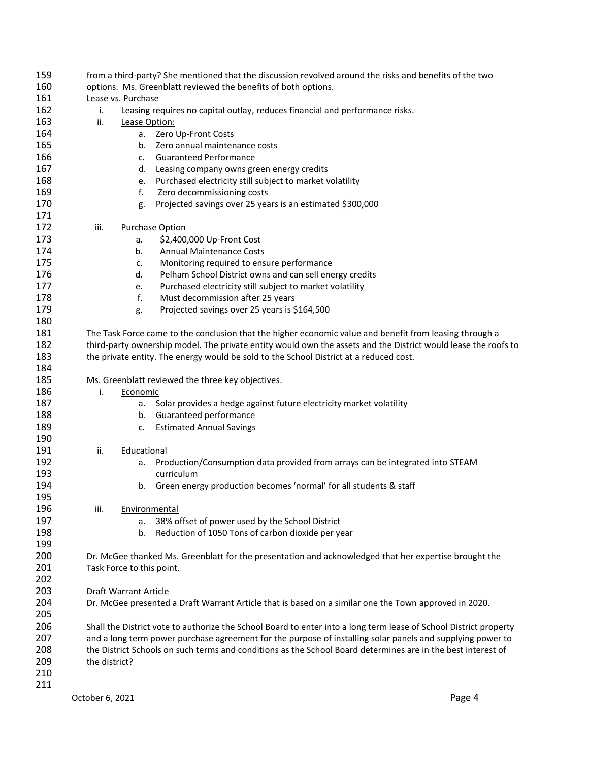| 159 | from a third-party? She mentioned that the discussion revolved around the risks and benefits of the two           |  |  |  |  |  |
|-----|-------------------------------------------------------------------------------------------------------------------|--|--|--|--|--|
| 160 | options. Ms. Greenblatt reviewed the benefits of both options.                                                    |  |  |  |  |  |
| 161 | Lease vs. Purchase                                                                                                |  |  |  |  |  |
| 162 | Leasing requires no capital outlay, reduces financial and performance risks.<br>i.                                |  |  |  |  |  |
| 163 | ii.<br>Lease Option:                                                                                              |  |  |  |  |  |
| 164 | Zero Up-Front Costs<br>а.                                                                                         |  |  |  |  |  |
| 165 | Zero annual maintenance costs<br>b.                                                                               |  |  |  |  |  |
| 166 | <b>Guaranteed Performance</b><br>c.                                                                               |  |  |  |  |  |
| 167 | Leasing company owns green energy credits<br>d.                                                                   |  |  |  |  |  |
| 168 | Purchased electricity still subject to market volatility<br>e.                                                    |  |  |  |  |  |
| 169 | f.<br>Zero decommissioning costs                                                                                  |  |  |  |  |  |
| 170 | Projected savings over 25 years is an estimated \$300,000<br>g.                                                   |  |  |  |  |  |
| 171 |                                                                                                                   |  |  |  |  |  |
| 172 | iii.<br><b>Purchase Option</b>                                                                                    |  |  |  |  |  |
|     |                                                                                                                   |  |  |  |  |  |
| 173 | \$2,400,000 Up-Front Cost<br>а.                                                                                   |  |  |  |  |  |
| 174 | <b>Annual Maintenance Costs</b><br>b.                                                                             |  |  |  |  |  |
| 175 | Monitoring required to ensure performance<br>c.                                                                   |  |  |  |  |  |
| 176 | Pelham School District owns and can sell energy credits<br>d.                                                     |  |  |  |  |  |
| 177 | Purchased electricity still subject to market volatility<br>e.                                                    |  |  |  |  |  |
| 178 | f.<br>Must decommission after 25 years                                                                            |  |  |  |  |  |
| 179 | Projected savings over 25 years is \$164,500<br>g.                                                                |  |  |  |  |  |
| 180 |                                                                                                                   |  |  |  |  |  |
| 181 | The Task Force came to the conclusion that the higher economic value and benefit from leasing through a           |  |  |  |  |  |
| 182 | third-party ownership model. The private entity would own the assets and the District would lease the roofs to    |  |  |  |  |  |
| 183 | the private entity. The energy would be sold to the School District at a reduced cost.                            |  |  |  |  |  |
| 184 |                                                                                                                   |  |  |  |  |  |
| 185 | Ms. Greenblatt reviewed the three key objectives.                                                                 |  |  |  |  |  |
| 186 | i.<br>Economic                                                                                                    |  |  |  |  |  |
| 187 | Solar provides a hedge against future electricity market volatility<br>а.                                         |  |  |  |  |  |
| 188 | b. Guaranteed performance                                                                                         |  |  |  |  |  |
| 189 | <b>Estimated Annual Savings</b><br>c.                                                                             |  |  |  |  |  |
| 190 |                                                                                                                   |  |  |  |  |  |
| 191 | ii.                                                                                                               |  |  |  |  |  |
|     | Educational                                                                                                       |  |  |  |  |  |
| 192 | Production/Consumption data provided from arrays can be integrated into STEAM<br>a.                               |  |  |  |  |  |
| 193 | curriculum                                                                                                        |  |  |  |  |  |
| 194 | Green energy production becomes 'normal' for all students & staff<br>b.                                           |  |  |  |  |  |
| 195 |                                                                                                                   |  |  |  |  |  |
| 196 | iii.<br>Environmental                                                                                             |  |  |  |  |  |
| 197 | 38% offset of power used by the School District<br>a.                                                             |  |  |  |  |  |
| 198 | Reduction of 1050 Tons of carbon dioxide per year<br>b.                                                           |  |  |  |  |  |
| 199 |                                                                                                                   |  |  |  |  |  |
| 200 | Dr. McGee thanked Ms. Greenblatt for the presentation and acknowledged that her expertise brought the             |  |  |  |  |  |
| 201 | Task Force to this point.                                                                                         |  |  |  |  |  |
| 202 |                                                                                                                   |  |  |  |  |  |
| 203 | <b>Draft Warrant Article</b>                                                                                      |  |  |  |  |  |
| 204 | Dr. McGee presented a Draft Warrant Article that is based on a similar one the Town approved in 2020.             |  |  |  |  |  |
| 205 |                                                                                                                   |  |  |  |  |  |
| 206 | Shall the District vote to authorize the School Board to enter into a long term lease of School District property |  |  |  |  |  |
| 207 | and a long term power purchase agreement for the purpose of installing solar panels and supplying power to        |  |  |  |  |  |
| 208 | the District Schools on such terms and conditions as the School Board determines are in the best interest of      |  |  |  |  |  |
| 209 | the district?                                                                                                     |  |  |  |  |  |
| 210 |                                                                                                                   |  |  |  |  |  |
| 211 |                                                                                                                   |  |  |  |  |  |
|     |                                                                                                                   |  |  |  |  |  |
|     | Page 4<br>October 6, 2021                                                                                         |  |  |  |  |  |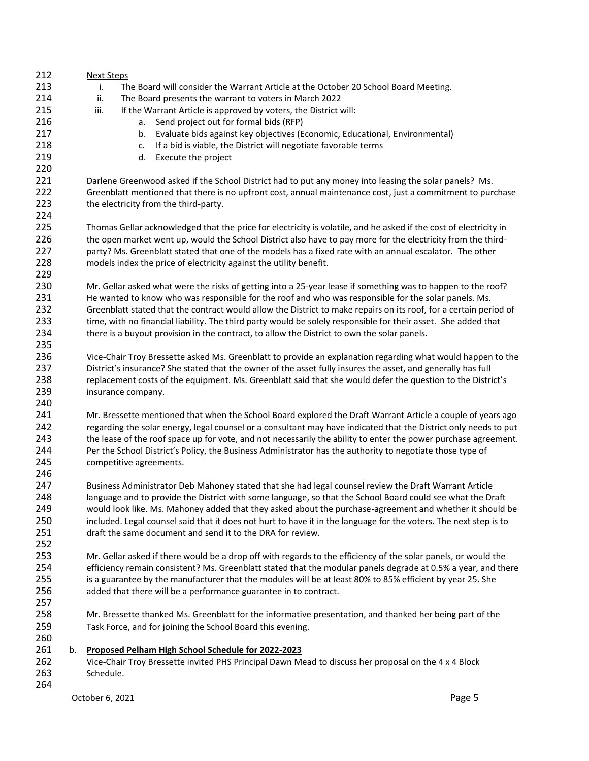| 212        |    | <b>Next Steps</b>                                                                                                                                                      |  |  |  |  |  |  |
|------------|----|------------------------------------------------------------------------------------------------------------------------------------------------------------------------|--|--|--|--|--|--|
| 213        |    | The Board will consider the Warrant Article at the October 20 School Board Meeting.<br>i.                                                                              |  |  |  |  |  |  |
| 214        |    | ii.<br>The Board presents the warrant to voters in March 2022                                                                                                          |  |  |  |  |  |  |
| 215        |    | iii.<br>If the Warrant Article is approved by voters, the District will:                                                                                               |  |  |  |  |  |  |
| 216        |    | Send project out for formal bids (RFP)<br>a.                                                                                                                           |  |  |  |  |  |  |
| 217        |    | Evaluate bids against key objectives (Economic, Educational, Environmental)<br>b.                                                                                      |  |  |  |  |  |  |
| 218        |    | If a bid is viable, the District will negotiate favorable terms<br>c.                                                                                                  |  |  |  |  |  |  |
| 219        |    | Execute the project<br>d.                                                                                                                                              |  |  |  |  |  |  |
| 220        |    |                                                                                                                                                                        |  |  |  |  |  |  |
| 221        |    | Darlene Greenwood asked if the School District had to put any money into leasing the solar panels? Ms.                                                                 |  |  |  |  |  |  |
| 222        |    | Greenblatt mentioned that there is no upfront cost, annual maintenance cost, just a commitment to purchase                                                             |  |  |  |  |  |  |
| 223        |    | the electricity from the third-party.                                                                                                                                  |  |  |  |  |  |  |
| 224        |    |                                                                                                                                                                        |  |  |  |  |  |  |
| 225        |    | Thomas Gellar acknowledged that the price for electricity is volatile, and he asked if the cost of electricity in                                                      |  |  |  |  |  |  |
| 226        |    | the open market went up, would the School District also have to pay more for the electricity from the third-                                                           |  |  |  |  |  |  |
| 227        |    | party? Ms. Greenblatt stated that one of the models has a fixed rate with an annual escalator. The other                                                               |  |  |  |  |  |  |
| 228        |    | models index the price of electricity against the utility benefit.                                                                                                     |  |  |  |  |  |  |
| 229        |    |                                                                                                                                                                        |  |  |  |  |  |  |
| 230        |    | Mr. Gellar asked what were the risks of getting into a 25-year lease if something was to happen to the roof?                                                           |  |  |  |  |  |  |
| 231        |    | He wanted to know who was responsible for the roof and who was responsible for the solar panels. Ms.                                                                   |  |  |  |  |  |  |
| 232        |    | Greenblatt stated that the contract would allow the District to make repairs on its roof, for a certain period of                                                      |  |  |  |  |  |  |
| 233        |    | time, with no financial liability. The third party would be solely responsible for their asset. She added that                                                         |  |  |  |  |  |  |
| 234        |    | there is a buyout provision in the contract, to allow the District to own the solar panels.                                                                            |  |  |  |  |  |  |
| 235        |    |                                                                                                                                                                        |  |  |  |  |  |  |
| 236        |    | Vice-Chair Troy Bressette asked Ms. Greenblatt to provide an explanation regarding what would happen to the                                                            |  |  |  |  |  |  |
| 237        |    | District's insurance? She stated that the owner of the asset fully insures the asset, and generally has full                                                           |  |  |  |  |  |  |
| 238        |    | replacement costs of the equipment. Ms. Greenblatt said that she would defer the question to the District's                                                            |  |  |  |  |  |  |
| 239        |    | insurance company.                                                                                                                                                     |  |  |  |  |  |  |
| 240        |    |                                                                                                                                                                        |  |  |  |  |  |  |
| 241        |    | Mr. Bressette mentioned that when the School Board explored the Draft Warrant Article a couple of years ago                                                            |  |  |  |  |  |  |
| 242        |    | regarding the solar energy, legal counsel or a consultant may have indicated that the District only needs to put                                                       |  |  |  |  |  |  |
| 243        |    | the lease of the roof space up for vote, and not necessarily the ability to enter the power purchase agreement.                                                        |  |  |  |  |  |  |
| 244        |    | Per the School District's Policy, the Business Administrator has the authority to negotiate those type of                                                              |  |  |  |  |  |  |
| 245        |    | competitive agreements.                                                                                                                                                |  |  |  |  |  |  |
| 246        |    |                                                                                                                                                                        |  |  |  |  |  |  |
| 247        |    | Business Administrator Deb Mahoney stated that she had legal counsel review the Draft Warrant Article                                                                  |  |  |  |  |  |  |
| 248        |    | language and to provide the District with some language, so that the School Board could see what the Draft                                                             |  |  |  |  |  |  |
| 249        |    | would look like. Ms. Mahoney added that they asked about the purchase-agreement and whether it should be                                                               |  |  |  |  |  |  |
| 250        |    | included. Legal counsel said that it does not hurt to have it in the language for the voters. The next step is to                                                      |  |  |  |  |  |  |
| 251        |    | draft the same document and send it to the DRA for review.                                                                                                             |  |  |  |  |  |  |
| 252        |    |                                                                                                                                                                        |  |  |  |  |  |  |
| 253<br>254 |    | Mr. Gellar asked if there would be a drop off with regards to the efficiency of the solar panels, or would the                                                         |  |  |  |  |  |  |
| 255        |    | efficiency remain consistent? Ms. Greenblatt stated that the modular panels degrade at 0.5% a year, and there                                                          |  |  |  |  |  |  |
|            |    | is a guarantee by the manufacturer that the modules will be at least 80% to 85% efficient by year 25. She                                                              |  |  |  |  |  |  |
| 256        |    | added that there will be a performance guarantee in to contract.                                                                                                       |  |  |  |  |  |  |
| 257<br>258 |    |                                                                                                                                                                        |  |  |  |  |  |  |
| 259        |    | Mr. Bressette thanked Ms. Greenblatt for the informative presentation, and thanked her being part of the<br>Task Force, and for joining the School Board this evening. |  |  |  |  |  |  |
| 260        |    |                                                                                                                                                                        |  |  |  |  |  |  |
| 261        | b. | Proposed Pelham High School Schedule for 2022-2023                                                                                                                     |  |  |  |  |  |  |
| 262        |    | Vice-Chair Troy Bressette invited PHS Principal Dawn Mead to discuss her proposal on the 4 x 4 Block                                                                   |  |  |  |  |  |  |
| 263        |    | Schedule.                                                                                                                                                              |  |  |  |  |  |  |
| 264        |    |                                                                                                                                                                        |  |  |  |  |  |  |
|            |    | Page 5<br>October 6, 2021                                                                                                                                              |  |  |  |  |  |  |
|            |    |                                                                                                                                                                        |  |  |  |  |  |  |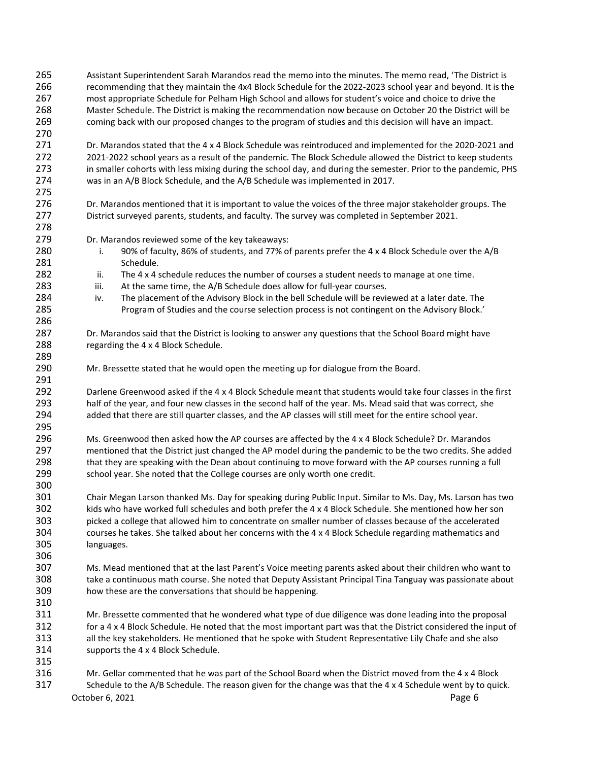October 6, 2021 **Page 6**  Assistant Superintendent Sarah Marandos read the memo into the minutes. The memo read, 'The District is recommending that they maintain the 4x4 Block Schedule for the 2022-2023 school year and beyond. It is the most appropriate Schedule for Pelham High School and allows for student's voice and choice to drive the Master Schedule. The District is making the recommendation now because on October 20 the District will be coming back with our proposed changes to the program of studies and this decision will have an impact. Dr. Marandos stated that the 4 x 4 Block Schedule was reintroduced and implemented for the 2020-2021 and 2021-2022 school years as a result of the pandemic. The Block Schedule allowed the District to keep students in smaller cohorts with less mixing during the school day, and during the semester. Prior to the pandemic, PHS was in an A/B Block Schedule, and the A/B Schedule was implemented in 2017. Dr. Marandos mentioned that it is important to value the voices of the three major stakeholder groups. The District surveyed parents, students, and faculty. The survey was completed in September 2021. Dr. Marandos reviewed some of the key takeaways: i. 90% of faculty, 86% of students, and 77% of parents prefer the 4 x 4 Block Schedule over the A/B 281 Schedule. 282 ii. The 4 x 4 schedule reduces the number of courses a student needs to manage at one time. iii. At the same time, the A/B Schedule does allow for full-year courses. iv. The placement of the Advisory Block in the bell Schedule will be reviewed at a later date. The Program of Studies and the course selection process is not contingent on the Advisory Block.' Dr. Marandos said that the District is looking to answer any questions that the School Board might have regarding the 4 x 4 Block Schedule. Mr. Bressette stated that he would open the meeting up for dialogue from the Board. Darlene Greenwood asked if the 4 x 4 Block Schedule meant that students would take four classes in the first half of the year, and four new classes in the second half of the year. Ms. Mead said that was correct, she added that there are still quarter classes, and the AP classes will still meet for the entire school year. Ms. Greenwood then asked how the AP courses are affected by the 4 x 4 Block Schedule? Dr. Marandos mentioned that the District just changed the AP model during the pandemic to be the two credits. She added that they are speaking with the Dean about continuing to move forward with the AP courses running a full school year. She noted that the College courses are only worth one credit. Chair Megan Larson thanked Ms. Day for speaking during Public Input. Similar to Ms. Day, Ms. Larson has two kids who have worked full schedules and both prefer the 4 x 4 Block Schedule. She mentioned how her son picked a college that allowed him to concentrate on smaller number of classes because of the accelerated courses he takes. She talked about her concerns with the 4 x 4 Block Schedule regarding mathematics and languages. Ms. Mead mentioned that at the last Parent's Voice meeting parents asked about their children who want to take a continuous math course. She noted that Deputy Assistant Principal Tina Tanguay was passionate about how these are the conversations that should be happening. Mr. Bressette commented that he wondered what type of due diligence was done leading into the proposal for a 4 x 4 Block Schedule. He noted that the most important part was that the District considered the input of all the key stakeholders. He mentioned that he spoke with Student Representative Lily Chafe and she also supports the 4 x 4 Block Schedule. Mr. Gellar commented that he was part of the School Board when the District moved from the 4 x 4 Block Schedule to the A/B Schedule. The reason given for the change was that the 4 x 4 Schedule went by to quick.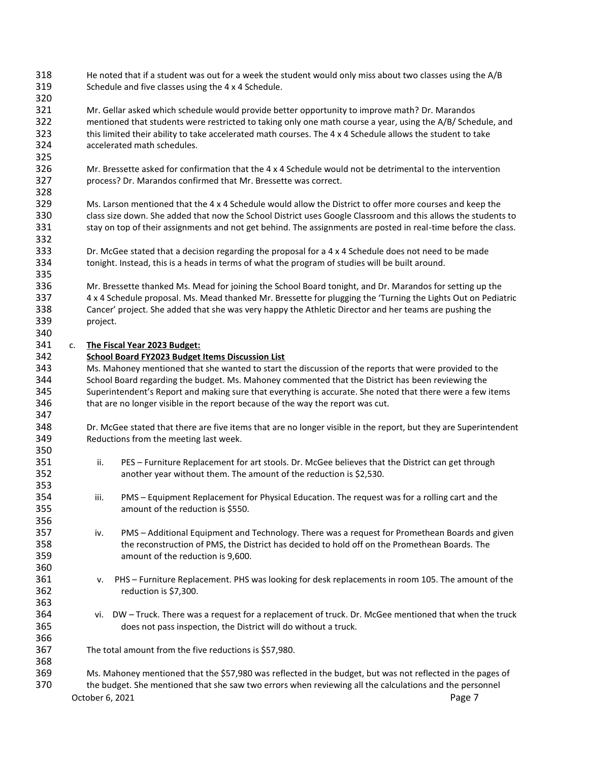He noted that if a student was out for a week the student would only miss about two classes using the A/B Schedule and five classes using the 4 x 4 Schedule.

 Mr. Gellar asked which schedule would provide better opportunity to improve math? Dr. Marandos mentioned that students were restricted to taking only one math course a year, using the A/B/ Schedule, and this limited their ability to take accelerated math courses. The 4 x 4 Schedule allows the student to take accelerated math schedules.

- Mr. Bressette asked for confirmation that the 4 x 4 Schedule would not be detrimental to the intervention process? Dr. Marandos confirmed that Mr. Bressette was correct.
- Ms. Larson mentioned that the 4 x 4 Schedule would allow the District to offer more courses and keep the class size down. She added that now the School District uses Google Classroom and this allows the students to 331 stay on top of their assignments and not get behind. The assignments are posted in real-time before the class.
- Dr. McGee stated that a decision regarding the proposal for a 4 x 4 Schedule does not need to be made tonight. Instead, this is a heads in terms of what the program of studies will be built around.

 Mr. Bressette thanked Ms. Mead for joining the School Board tonight, and Dr. Marandos for setting up the 4 x 4 Schedule proposal. Ms. Mead thanked Mr. Bressette for plugging the 'Turning the Lights Out on Pediatric Cancer' project. She added that she was very happy the Athletic Director and her teams are pushing the project.

## c. **The Fiscal Year 2023 Budget:**

## **School Board FY2023 Budget Items Discussion List**

 Ms. Mahoney mentioned that she wanted to start the discussion of the reports that were provided to the School Board regarding the budget. Ms. Mahoney commented that the District has been reviewing the Superintendent's Report and making sure that everything is accurate. She noted that there were a few items that are no longer visible in the report because of the way the report was cut.

 Dr. McGee stated that there are five items that are no longer visible in the report, but they are Superintendent Reductions from the meeting last week.

- ii. PES Furniture Replacement for art stools. Dr. McGee believes that the District can get through another year without them. The amount of the reduction is \$2,530.
- iii. PMS Equipment Replacement for Physical Education. The request was for a rolling cart and the amount of the reduction is \$550.
- iv. PMS Additional Equipment and Technology. There was a request for Promethean Boards and given the reconstruction of PMS, the District has decided to hold off on the Promethean Boards. The amount of the reduction is 9,600.
- v. PHS Furniture Replacement. PHS was looking for desk replacements in room 105. The amount of the reduction is \$7,300.
- vi. DW Truck. There was a request for a replacement of truck. Dr. McGee mentioned that when the truck does not pass inspection, the District will do without a truck.

The total amount from the five reductions is \$57,980.

October 6, 2021 **Page 7**  Ms. Mahoney mentioned that the \$57,980 was reflected in the budget, but was not reflected in the pages of the budget. She mentioned that she saw two errors when reviewing all the calculations and the personnel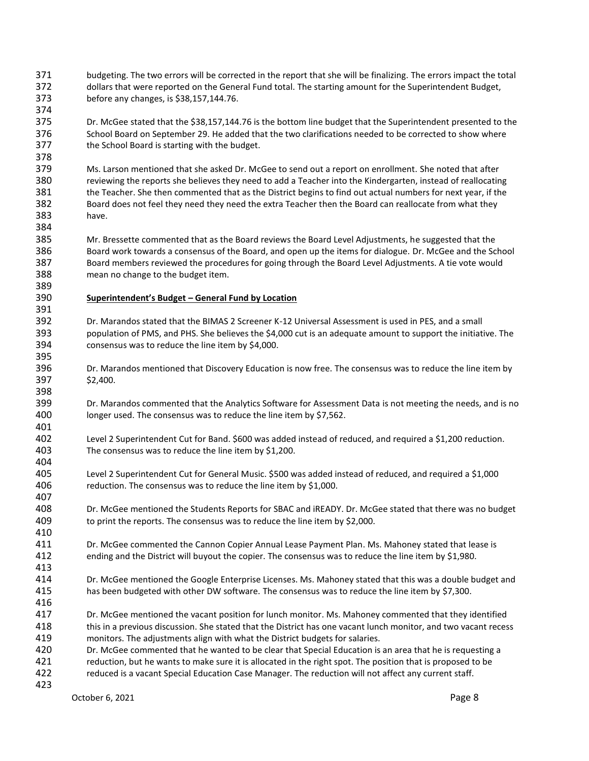- budgeting. The two errors will be corrected in the report that she will be finalizing. The errors impact the total dollars that were reported on the General Fund total. The starting amount for the Superintendent Budget, before any changes, is \$38,157,144.76.
- Dr. McGee stated that the \$38,157,144.76 is the bottom line budget that the Superintendent presented to the School Board on September 29. He added that the two clarifications needed to be corrected to show where the School Board is starting with the budget.

 Ms. Larson mentioned that she asked Dr. McGee to send out a report on enrollment. She noted that after reviewing the reports she believes they need to add a Teacher into the Kindergarten, instead of reallocating the Teacher. She then commented that as the District begins to find out actual numbers for next year, if the Board does not feel they need they need the extra Teacher then the Board can reallocate from what they have.

 Mr. Bressette commented that as the Board reviews the Board Level Adjustments, he suggested that the Board work towards a consensus of the Board, and open up the items for dialogue. Dr. McGee and the School Board members reviewed the procedures for going through the Board Level Adjustments. A tie vote would mean no change to the budget item.

 

**Superintendent's Budget – General Fund by Location**

- Dr. Marandos stated that the BIMAS 2 Screener K-12 Universal Assessment is used in PES, and a small population of PMS, and PHS. She believes the \$4,000 cut is an adequate amount to support the initiative. The consensus was to reduce the line item by \$4,000.
- Dr. Marandos mentioned that Discovery Education is now free. The consensus was to reduce the line item by \$2,400.
- Dr. Marandos commented that the Analytics Software for Assessment Data is not meeting the needs, and is no longer used. The consensus was to reduce the line item by \$7,562.
- Level 2 Superintendent Cut for Band. \$600 was added instead of reduced, and required a \$1,200 reduction. The consensus was to reduce the line item by \$1,200.
- Level 2 Superintendent Cut for General Music. \$500 was added instead of reduced, and required a \$1,000 reduction. The consensus was to reduce the line item by \$1,000.
- Dr. McGee mentioned the Students Reports for SBAC and iREADY. Dr. McGee stated that there was no budget to print the reports. The consensus was to reduce the line item by \$2,000.
- Dr. McGee commented the Cannon Copier Annual Lease Payment Plan. Ms. Mahoney stated that lease is ending and the District will buyout the copier. The consensus was to reduce the line item by \$1,980.
- Dr. McGee mentioned the Google Enterprise Licenses. Ms. Mahoney stated that this was a double budget and has been budgeted with other DW software. The consensus was to reduce the line item by \$7,300.
- Dr. McGee mentioned the vacant position for lunch monitor. Ms. Mahoney commented that they identified this in a previous discussion. She stated that the District has one vacant lunch monitor, and two vacant recess monitors. The adjustments align with what the District budgets for salaries.
- Dr. McGee commented that he wanted to be clear that Special Education is an area that he is requesting a reduction, but he wants to make sure it is allocated in the right spot. The position that is proposed to be reduced is a vacant Special Education Case Manager. The reduction will not affect any current staff.
-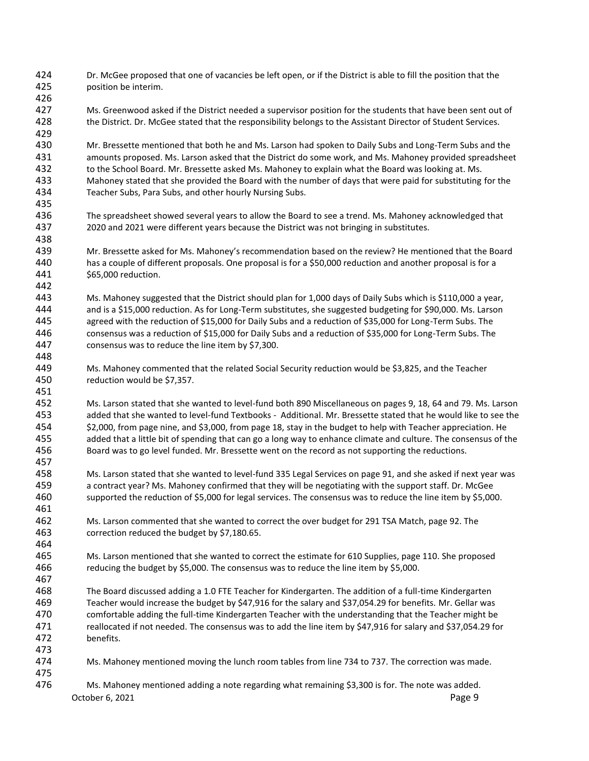Dr. McGee proposed that one of vacancies be left open, or if the District is able to fill the position that the position be interim.

 Ms. Greenwood asked if the District needed a supervisor position for the students that have been sent out of the District. Dr. McGee stated that the responsibility belongs to the Assistant Director of Student Services.

 Mr. Bressette mentioned that both he and Ms. Larson had spoken to Daily Subs and Long-Term Subs and the amounts proposed. Ms. Larson asked that the District do some work, and Ms. Mahoney provided spreadsheet to the School Board. Mr. Bressette asked Ms. Mahoney to explain what the Board was looking at. Ms. Mahoney stated that she provided the Board with the number of days that were paid for substituting for the Teacher Subs, Para Subs, and other hourly Nursing Subs.

- The spreadsheet showed several years to allow the Board to see a trend. Ms. Mahoney acknowledged that 2020 and 2021 were different years because the District was not bringing in substitutes.
- Mr. Bressette asked for Ms. Mahoney's recommendation based on the review? He mentioned that the Board has a couple of different proposals. One proposal is for a \$50,000 reduction and another proposal is for a \$65,000 reduction.
- Ms. Mahoney suggested that the District should plan for 1,000 days of Daily Subs which is \$110,000 a year, and is a \$15,000 reduction. As for Long-Term substitutes, she suggested budgeting for \$90,000. Ms. Larson agreed with the reduction of \$15,000 for Daily Subs and a reduction of \$35,000 for Long-Term Subs. The consensus was a reduction of \$15,000 for Daily Subs and a reduction of \$35,000 for Long-Term Subs. The consensus was to reduce the line item by \$7,300.
- Ms. Mahoney commented that the related Social Security reduction would be \$3,825, and the Teacher reduction would be \$7,357.

 Ms. Larson stated that she wanted to level-fund both 890 Miscellaneous on pages 9, 18, 64 and 79. Ms. Larson added that she wanted to level-fund Textbooks - Additional. Mr. Bressette stated that he would like to see the \$2,000, from page nine, and \$3,000, from page 18, stay in the budget to help with Teacher appreciation. He added that a little bit of spending that can go a long way to enhance climate and culture. The consensus of the Board was to go level funded. Mr. Bressette went on the record as not supporting the reductions.

- Ms. Larson stated that she wanted to level-fund 335 Legal Services on page 91, and she asked if next year was a contract year? Ms. Mahoney confirmed that they will be negotiating with the support staff. Dr. McGee supported the reduction of \$5,000 for legal services. The consensus was to reduce the line item by \$5,000.
- Ms. Larson commented that she wanted to correct the over budget for 291 TSA Match, page 92. The correction reduced the budget by \$7,180.65.
- Ms. Larson mentioned that she wanted to correct the estimate for 610 Supplies, page 110. She proposed reducing the budget by \$5,000. The consensus was to reduce the line item by \$5,000.
- The Board discussed adding a 1.0 FTE Teacher for Kindergarten. The addition of a full-time Kindergarten Teacher would increase the budget by \$47,916 for the salary and \$37,054.29 for benefits. Mr. Gellar was comfortable adding the full-time Kindergarten Teacher with the understanding that the Teacher might be reallocated if not needed. The consensus was to add the line item by \$47,916 for salary and \$37,054.29 for benefits.
- Ms. Mahoney mentioned moving the lunch room tables from line 734 to 737. The correction was made.
- October 6, 2021 **Page 9** Ms. Mahoney mentioned adding a note regarding what remaining \$3,300 is for. The note was added.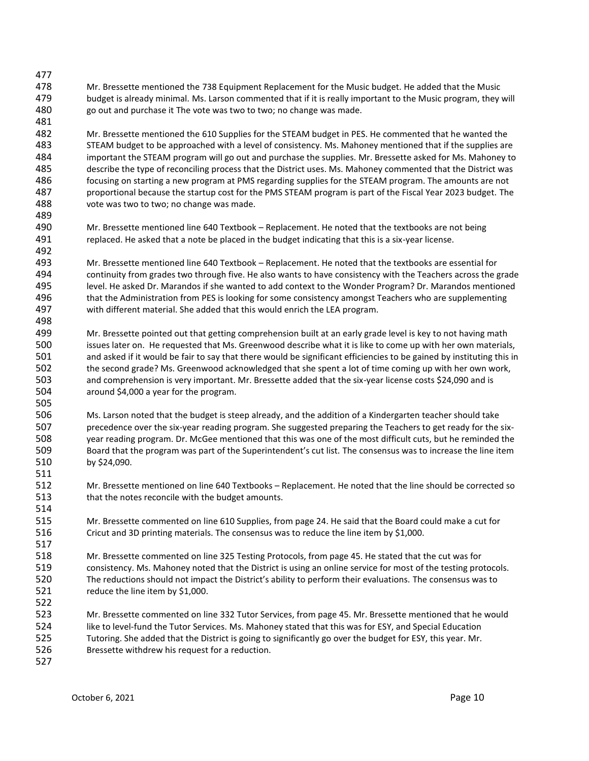- Mr. Bressette mentioned the 738 Equipment Replacement for the Music budget. He added that the Music budget is already minimal. Ms. Larson commented that if it is really important to the Music program, they will go out and purchase it The vote was two to two; no change was made.
- Mr. Bressette mentioned the 610 Supplies for the STEAM budget in PES. He commented that he wanted the STEAM budget to be approached with a level of consistency. Ms. Mahoney mentioned that if the supplies are important the STEAM program will go out and purchase the supplies. Mr. Bressette asked for Ms. Mahoney to describe the type of reconciling process that the District uses. Ms. Mahoney commented that the District was focusing on starting a new program at PMS regarding supplies for the STEAM program. The amounts are not proportional because the startup cost for the PMS STEAM program is part of the Fiscal Year 2023 budget. The vote was two to two; no change was made.
- Mr. Bressette mentioned line 640 Textbook Replacement. He noted that the textbooks are not being replaced. He asked that a note be placed in the budget indicating that this is a six-year license.
- Mr. Bressette mentioned line 640 Textbook Replacement. He noted that the textbooks are essential for continuity from grades two through five. He also wants to have consistency with the Teachers across the grade level. He asked Dr. Marandos if she wanted to add context to the Wonder Program? Dr. Marandos mentioned that the Administration from PES is looking for some consistency amongst Teachers who are supplementing with different material. She added that this would enrich the LEA program.
- Mr. Bressette pointed out that getting comprehension built at an early grade level is key to not having math issues later on. He requested that Ms. Greenwood describe what it is like to come up with her own materials, and asked if it would be fair to say that there would be significant efficiencies to be gained by instituting this in the second grade? Ms. Greenwood acknowledged that she spent a lot of time coming up with her own work, and comprehension is very important. Mr. Bressette added that the six-year license costs \$24,090 and is around \$4,000 a year for the program.
- Ms. Larson noted that the budget is steep already, and the addition of a Kindergarten teacher should take precedence over the six-year reading program. She suggested preparing the Teachers to get ready for the six- year reading program. Dr. McGee mentioned that this was one of the most difficult cuts, but he reminded the Board that the program was part of the Superintendent's cut list. The consensus was to increase the line item by \$24,090.
- Mr. Bressette mentioned on line 640 Textbooks Replacement. He noted that the line should be corrected so that the notes reconcile with the budget amounts.
- Mr. Bressette commented on line 610 Supplies, from page 24. He said that the Board could make a cut for Cricut and 3D printing materials. The consensus was to reduce the line item by \$1,000.
- Mr. Bressette commented on line 325 Testing Protocols, from page 45. He stated that the cut was for consistency. Ms. Mahoney noted that the District is using an online service for most of the testing protocols. The reductions should not impact the District's ability to perform their evaluations. The consensus was to 521 reduce the line item by \$1,000.
- Mr. Bressette commented on line 332 Tutor Services, from page 45. Mr. Bressette mentioned that he would like to level-fund the Tutor Services. Ms. Mahoney stated that this was for ESY, and Special Education Tutoring. She added that the District is going to significantly go over the budget for ESY, this year. Mr. Bressette withdrew his request for a reduction.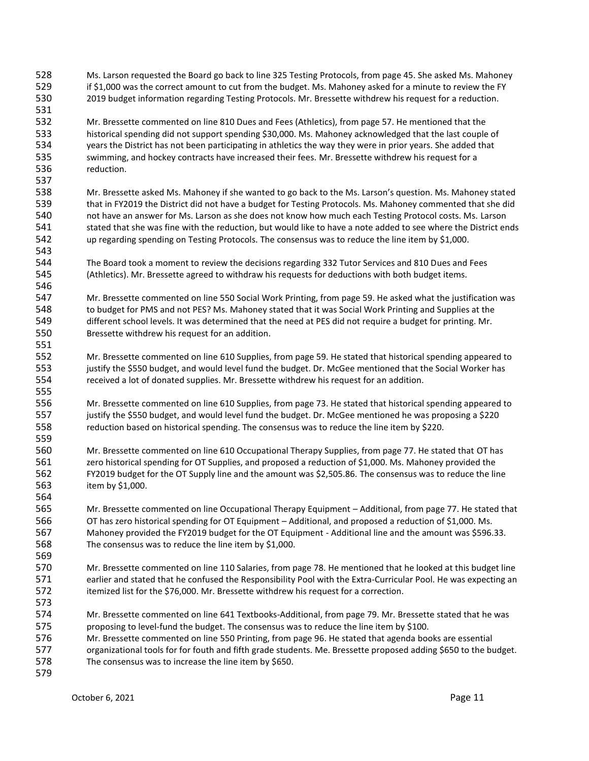Ms. Larson requested the Board go back to line 325 Testing Protocols, from page 45. She asked Ms. Mahoney 529 if \$1,000 was the correct amount to cut from the budget. Ms. Mahoney asked for a minute to review the FY 2019 budget information regarding Testing Protocols. Mr. Bressette withdrew his request for a reduction.

 Mr. Bressette commented on line 810 Dues and Fees (Athletics), from page 57. He mentioned that the historical spending did not support spending \$30,000. Ms. Mahoney acknowledged that the last couple of years the District has not been participating in athletics the way they were in prior years. She added that swimming, and hockey contracts have increased their fees. Mr. Bressette withdrew his request for a reduction.

- Mr. Bressette asked Ms. Mahoney if she wanted to go back to the Ms. Larson's question. Ms. Mahoney stated that in FY2019 the District did not have a budget for Testing Protocols. Ms. Mahoney commented that she did not have an answer for Ms. Larson as she does not know how much each Testing Protocol costs. Ms. Larson 541 stated that she was fine with the reduction, but would like to have a note added to see where the District ends up regarding spending on Testing Protocols. The consensus was to reduce the line item by \$1,000.
- The Board took a moment to review the decisions regarding 332 Tutor Services and 810 Dues and Fees (Athletics). Mr. Bressette agreed to withdraw his requests for deductions with both budget items.
- Mr. Bressette commented on line 550 Social Work Printing, from page 59. He asked what the justification was to budget for PMS and not PES? Ms. Mahoney stated that it was Social Work Printing and Supplies at the different school levels. It was determined that the need at PES did not require a budget for printing. Mr. Bressette withdrew his request for an addition.
- Mr. Bressette commented on line 610 Supplies, from page 59. He stated that historical spending appeared to 553 justify the \$550 budget, and would level fund the budget. Dr. McGee mentioned that the Social Worker has received a lot of donated supplies. Mr. Bressette withdrew his request for an addition.
- Mr. Bressette commented on line 610 Supplies, from page 73. He stated that historical spending appeared to justify the \$550 budget, and would level fund the budget. Dr. McGee mentioned he was proposing a \$220 reduction based on historical spending. The consensus was to reduce the line item by \$220.
- Mr. Bressette commented on line 610 Occupational Therapy Supplies, from page 77. He stated that OT has zero historical spending for OT Supplies, and proposed a reduction of \$1,000. Ms. Mahoney provided the FY2019 budget for the OT Supply line and the amount was \$2,505.86. The consensus was to reduce the line item by \$1,000.
- Mr. Bressette commented on line Occupational Therapy Equipment Additional, from page 77. He stated that OT has zero historical spending for OT Equipment – Additional, and proposed a reduction of \$1,000. Ms. Mahoney provided the FY2019 budget for the OT Equipment - Additional line and the amount was \$596.33. The consensus was to reduce the line item by \$1,000.
- Mr. Bressette commented on line 110 Salaries, from page 78. He mentioned that he looked at this budget line earlier and stated that he confused the Responsibility Pool with the Extra-Curricular Pool. He was expecting an itemized list for the \$76,000. Mr. Bressette withdrew his request for a correction.
- Mr. Bressette commented on line 641 Textbooks-Additional, from page 79. Mr. Bressette stated that he was 575 proposing to level-fund the budget. The consensus was to reduce the line item by \$100.
- Mr. Bressette commented on line 550 Printing, from page 96. He stated that agenda books are essential
- organizational tools for for fouth and fifth grade students. Me. Bressette proposed adding \$650 to the budget. The consensus was to increase the line item by \$650.
-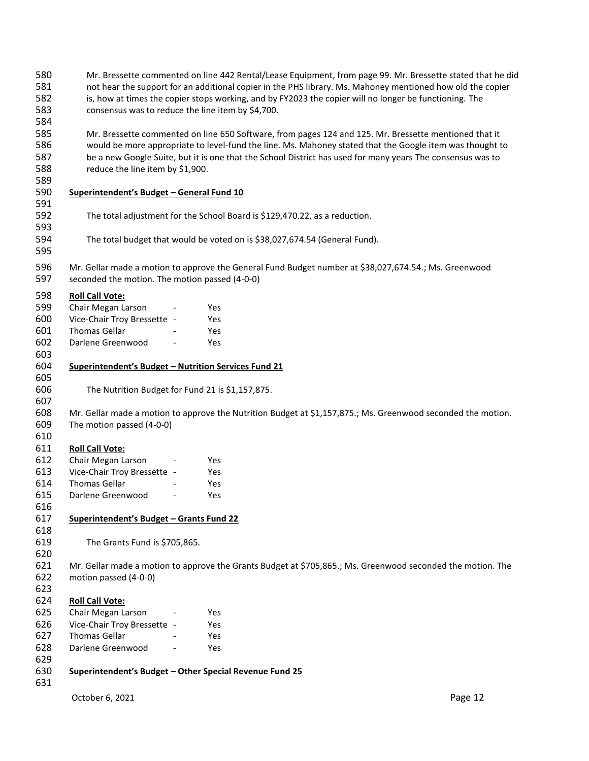| 580 | Mr. Bressette commented on line 442 Rental/Lease Equipment, from page 99. Mr. Bressette stated that he did |                                                                                                              |         |  |  |  |
|-----|------------------------------------------------------------------------------------------------------------|--------------------------------------------------------------------------------------------------------------|---------|--|--|--|
| 581 | not hear the support for an additional copier in the PHS library. Ms. Mahoney mentioned how old the copier |                                                                                                              |         |  |  |  |
| 582 |                                                                                                            | is, how at times the copier stops working, and by FY2023 the copier will no longer be functioning. The       |         |  |  |  |
| 583 | consensus was to reduce the line item by \$4,700.                                                          |                                                                                                              |         |  |  |  |
| 584 |                                                                                                            |                                                                                                              |         |  |  |  |
| 585 |                                                                                                            | Mr. Bressette commented on line 650 Software, from pages 124 and 125. Mr. Bressette mentioned that it        |         |  |  |  |
| 586 |                                                                                                            | would be more appropriate to level-fund the line. Ms. Mahoney stated that the Google item was thought to     |         |  |  |  |
| 587 |                                                                                                            | be a new Google Suite, but it is one that the School District has used for many years The consensus was to   |         |  |  |  |
| 588 | reduce the line item by \$1,900.                                                                           |                                                                                                              |         |  |  |  |
| 589 |                                                                                                            |                                                                                                              |         |  |  |  |
| 590 |                                                                                                            |                                                                                                              |         |  |  |  |
| 591 | Superintendent's Budget - General Fund 10                                                                  |                                                                                                              |         |  |  |  |
| 592 |                                                                                                            |                                                                                                              |         |  |  |  |
|     |                                                                                                            | The total adjustment for the School Board is \$129,470.22, as a reduction.                                   |         |  |  |  |
| 593 |                                                                                                            |                                                                                                              |         |  |  |  |
| 594 |                                                                                                            | The total budget that would be voted on is \$38,027,674.54 (General Fund).                                   |         |  |  |  |
| 595 |                                                                                                            |                                                                                                              |         |  |  |  |
| 596 |                                                                                                            | Mr. Gellar made a motion to approve the General Fund Budget number at \$38,027,674.54.; Ms. Greenwood        |         |  |  |  |
| 597 | seconded the motion. The motion passed (4-0-0)                                                             |                                                                                                              |         |  |  |  |
|     |                                                                                                            |                                                                                                              |         |  |  |  |
| 598 | <b>Roll Call Vote:</b>                                                                                     |                                                                                                              |         |  |  |  |
| 599 | Chair Megan Larson                                                                                         | Yes                                                                                                          |         |  |  |  |
| 600 | Vice-Chair Troy Bressette -                                                                                | Yes                                                                                                          |         |  |  |  |
| 601 | <b>Thomas Gellar</b>                                                                                       | Yes                                                                                                          |         |  |  |  |
| 602 | Darlene Greenwood                                                                                          | Yes                                                                                                          |         |  |  |  |
| 603 |                                                                                                            |                                                                                                              |         |  |  |  |
| 604 | Superintendent's Budget - Nutrition Services Fund 21                                                       |                                                                                                              |         |  |  |  |
| 605 |                                                                                                            |                                                                                                              |         |  |  |  |
| 606 | The Nutrition Budget for Fund 21 is \$1,157,875.                                                           |                                                                                                              |         |  |  |  |
| 607 |                                                                                                            |                                                                                                              |         |  |  |  |
| 608 |                                                                                                            | Mr. Gellar made a motion to approve the Nutrition Budget at \$1,157,875.; Ms. Greenwood seconded the motion. |         |  |  |  |
| 609 | The motion passed (4-0-0)                                                                                  |                                                                                                              |         |  |  |  |
| 610 |                                                                                                            |                                                                                                              |         |  |  |  |
| 611 | <b>Roll Call Vote:</b>                                                                                     |                                                                                                              |         |  |  |  |
| 612 | Chair Megan Larson                                                                                         | Yes                                                                                                          |         |  |  |  |
| 613 | Vice-Chair Troy Bressette -                                                                                | Yes                                                                                                          |         |  |  |  |
| 614 | Thomas Gellar                                                                                              | Yes                                                                                                          |         |  |  |  |
| 615 | Darlene Greenwood<br>$\overline{\phantom{a}}$                                                              | Yes                                                                                                          |         |  |  |  |
| 616 |                                                                                                            |                                                                                                              |         |  |  |  |
| 617 | Superintendent's Budget - Grants Fund 22                                                                   |                                                                                                              |         |  |  |  |
| 618 |                                                                                                            |                                                                                                              |         |  |  |  |
| 619 | The Grants Fund is \$705,865.                                                                              |                                                                                                              |         |  |  |  |
| 620 |                                                                                                            |                                                                                                              |         |  |  |  |
| 621 |                                                                                                            | Mr. Gellar made a motion to approve the Grants Budget at \$705,865.; Ms. Greenwood seconded the motion. The  |         |  |  |  |
| 622 | motion passed (4-0-0)                                                                                      |                                                                                                              |         |  |  |  |
| 623 |                                                                                                            |                                                                                                              |         |  |  |  |
| 624 | <b>Roll Call Vote:</b>                                                                                     |                                                                                                              |         |  |  |  |
| 625 | Chair Megan Larson                                                                                         | Yes                                                                                                          |         |  |  |  |
| 626 | Vice-Chair Troy Bressette -                                                                                | Yes                                                                                                          |         |  |  |  |
| 627 | <b>Thomas Gellar</b>                                                                                       | Yes                                                                                                          |         |  |  |  |
| 628 | Darlene Greenwood                                                                                          | Yes                                                                                                          |         |  |  |  |
| 629 |                                                                                                            |                                                                                                              |         |  |  |  |
| 630 | Superintendent's Budget - Other Special Revenue Fund 25                                                    |                                                                                                              |         |  |  |  |
| 631 |                                                                                                            |                                                                                                              |         |  |  |  |
|     |                                                                                                            |                                                                                                              |         |  |  |  |
|     | October 6, 2021                                                                                            |                                                                                                              | Page 12 |  |  |  |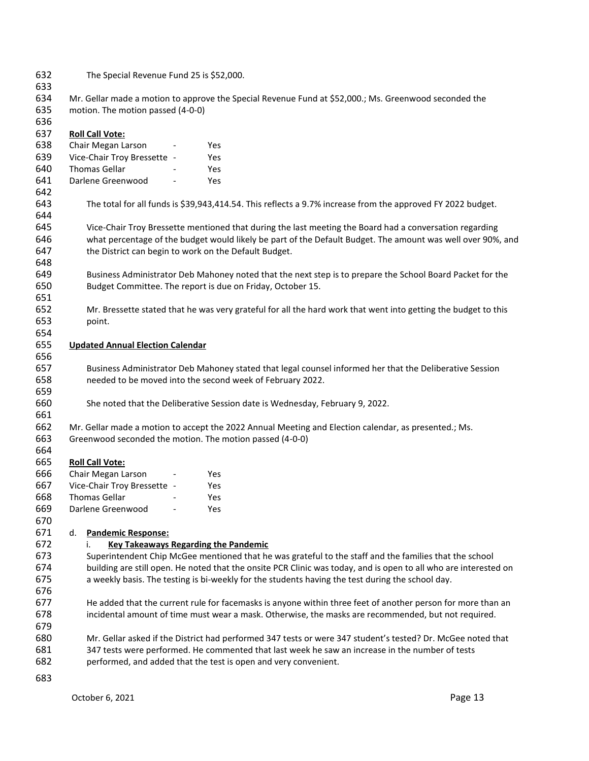| 632<br>633 |                                                                                                                                                                                                                    | The Special Revenue Fund 25 is \$52,000.                                                                         |                                                                                                                |  |  |  |  |
|------------|--------------------------------------------------------------------------------------------------------------------------------------------------------------------------------------------------------------------|------------------------------------------------------------------------------------------------------------------|----------------------------------------------------------------------------------------------------------------|--|--|--|--|
| 634        |                                                                                                                                                                                                                    | Mr. Gellar made a motion to approve the Special Revenue Fund at \$52,000.; Ms. Greenwood seconded the            |                                                                                                                |  |  |  |  |
| 635        |                                                                                                                                                                                                                    | motion. The motion passed (4-0-0)                                                                                |                                                                                                                |  |  |  |  |
| 636        |                                                                                                                                                                                                                    |                                                                                                                  |                                                                                                                |  |  |  |  |
| 637        |                                                                                                                                                                                                                    | <b>Roll Call Vote:</b>                                                                                           |                                                                                                                |  |  |  |  |
| 638        |                                                                                                                                                                                                                    | Chair Megan Larson                                                                                               | Yes                                                                                                            |  |  |  |  |
| 639        |                                                                                                                                                                                                                    | Vice-Chair Troy Bressette -                                                                                      | Yes                                                                                                            |  |  |  |  |
| 640        |                                                                                                                                                                                                                    | Thomas Gellar                                                                                                    | Yes                                                                                                            |  |  |  |  |
| 641        |                                                                                                                                                                                                                    | Darlene Greenwood<br>$\overline{\phantom{a}}$                                                                    | Yes                                                                                                            |  |  |  |  |
| 642        |                                                                                                                                                                                                                    |                                                                                                                  |                                                                                                                |  |  |  |  |
| 643        |                                                                                                                                                                                                                    |                                                                                                                  | The total for all funds is \$39,943,414.54. This reflects a 9.7% increase from the approved FY 2022 budget.    |  |  |  |  |
| 644        |                                                                                                                                                                                                                    |                                                                                                                  |                                                                                                                |  |  |  |  |
| 645        |                                                                                                                                                                                                                    |                                                                                                                  | Vice-Chair Troy Bressette mentioned that during the last meeting the Board had a conversation regarding        |  |  |  |  |
| 646        |                                                                                                                                                                                                                    |                                                                                                                  | what percentage of the budget would likely be part of the Default Budget. The amount was well over 90%, and    |  |  |  |  |
| 647        |                                                                                                                                                                                                                    | the District can begin to work on the Default Budget.                                                            |                                                                                                                |  |  |  |  |
| 648        |                                                                                                                                                                                                                    |                                                                                                                  |                                                                                                                |  |  |  |  |
| 649        |                                                                                                                                                                                                                    |                                                                                                                  | Business Administrator Deb Mahoney noted that the next step is to prepare the School Board Packet for the      |  |  |  |  |
| 650        |                                                                                                                                                                                                                    |                                                                                                                  | Budget Committee. The report is due on Friday, October 15.                                                     |  |  |  |  |
| 651        |                                                                                                                                                                                                                    |                                                                                                                  |                                                                                                                |  |  |  |  |
| 652        |                                                                                                                                                                                                                    |                                                                                                                  | Mr. Bressette stated that he was very grateful for all the hard work that went into getting the budget to this |  |  |  |  |
| 653        |                                                                                                                                                                                                                    | point.                                                                                                           |                                                                                                                |  |  |  |  |
| 654        |                                                                                                                                                                                                                    |                                                                                                                  |                                                                                                                |  |  |  |  |
| 655        |                                                                                                                                                                                                                    | <b>Updated Annual Election Calendar</b>                                                                          |                                                                                                                |  |  |  |  |
| 656        |                                                                                                                                                                                                                    |                                                                                                                  |                                                                                                                |  |  |  |  |
| 657        |                                                                                                                                                                                                                    |                                                                                                                  | Business Administrator Deb Mahoney stated that legal counsel informed her that the Deliberative Session        |  |  |  |  |
| 658        |                                                                                                                                                                                                                    |                                                                                                                  | needed to be moved into the second week of February 2022.                                                      |  |  |  |  |
| 659        |                                                                                                                                                                                                                    |                                                                                                                  |                                                                                                                |  |  |  |  |
| 660        |                                                                                                                                                                                                                    |                                                                                                                  | She noted that the Deliberative Session date is Wednesday, February 9, 2022.                                   |  |  |  |  |
| 661        |                                                                                                                                                                                                                    |                                                                                                                  |                                                                                                                |  |  |  |  |
| 662        | Mr. Gellar made a motion to accept the 2022 Annual Meeting and Election calendar, as presented.; Ms.                                                                                                               |                                                                                                                  |                                                                                                                |  |  |  |  |
| 663        |                                                                                                                                                                                                                    | Greenwood seconded the motion. The motion passed (4-0-0)                                                         |                                                                                                                |  |  |  |  |
| 664        |                                                                                                                                                                                                                    |                                                                                                                  |                                                                                                                |  |  |  |  |
| 665        |                                                                                                                                                                                                                    | <b>Roll Call Vote:</b>                                                                                           |                                                                                                                |  |  |  |  |
| 666        |                                                                                                                                                                                                                    | Chair Megan Larson                                                                                               | Yes                                                                                                            |  |  |  |  |
| 667        |                                                                                                                                                                                                                    | Vice-Chair Troy Bressette -                                                                                      | Yes                                                                                                            |  |  |  |  |
| 668        |                                                                                                                                                                                                                    | Thomas Gellar                                                                                                    | Yes                                                                                                            |  |  |  |  |
| 669        |                                                                                                                                                                                                                    | Darlene Greenwood                                                                                                | Yes                                                                                                            |  |  |  |  |
| 670        |                                                                                                                                                                                                                    |                                                                                                                  |                                                                                                                |  |  |  |  |
| 671        | d.                                                                                                                                                                                                                 | <b>Pandemic Response:</b>                                                                                        |                                                                                                                |  |  |  |  |
| 672        |                                                                                                                                                                                                                    | <b>Key Takeaways Regarding the Pandemic</b><br>i.                                                                |                                                                                                                |  |  |  |  |
| 673        |                                                                                                                                                                                                                    |                                                                                                                  | Superintendent Chip McGee mentioned that he was grateful to the staff and the families that the school         |  |  |  |  |
| 674        |                                                                                                                                                                                                                    | building are still open. He noted that the onsite PCR Clinic was today, and is open to all who are interested on |                                                                                                                |  |  |  |  |
| 675        | a weekly basis. The testing is bi-weekly for the students having the test during the school day.                                                                                                                   |                                                                                                                  |                                                                                                                |  |  |  |  |
| 676        |                                                                                                                                                                                                                    |                                                                                                                  |                                                                                                                |  |  |  |  |
| 677        | He added that the current rule for facemasks is anyone within three feet of another person for more than an<br>incidental amount of time must wear a mask. Otherwise, the masks are recommended, but not required. |                                                                                                                  |                                                                                                                |  |  |  |  |
| 678        |                                                                                                                                                                                                                    |                                                                                                                  |                                                                                                                |  |  |  |  |
| 679<br>680 |                                                                                                                                                                                                                    |                                                                                                                  |                                                                                                                |  |  |  |  |
| 681        | Mr. Gellar asked if the District had performed 347 tests or were 347 student's tested? Dr. McGee noted that<br>347 tests were performed. He commented that last week he saw an increase in the number of tests     |                                                                                                                  |                                                                                                                |  |  |  |  |
| 682        | performed, and added that the test is open and very convenient.                                                                                                                                                    |                                                                                                                  |                                                                                                                |  |  |  |  |
|            |                                                                                                                                                                                                                    |                                                                                                                  |                                                                                                                |  |  |  |  |
| 683        |                                                                                                                                                                                                                    |                                                                                                                  |                                                                                                                |  |  |  |  |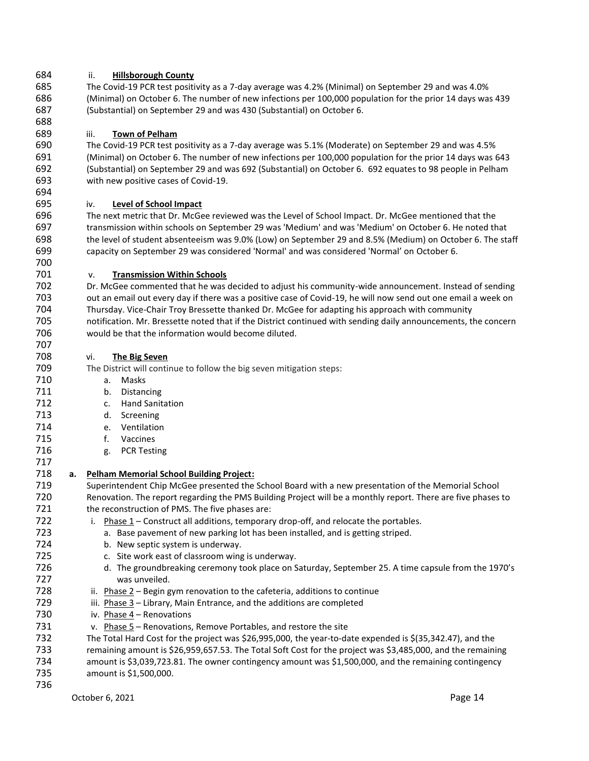# ii. **Hillsborough County**

 The Covid-19 PCR test positivity as a 7-day average was 4.2% (Minimal) on September 29 and was 4.0% (Minimal) on October 6. The number of new infections per 100,000 population for the prior 14 days was 439 (Substantial) on September 29 and was 430 (Substantial) on October 6.

# iii. **Town of Pelham**

 The Covid-19 PCR test positivity as a 7-day average was 5.1% (Moderate) on September 29 and was 4.5% (Minimal) on October 6. The number of new infections per 100,000 population for the prior 14 days was 643 (Substantial) on September 29 and was 692 (Substantial) on October 6. 692 equates to 98 people in Pelham with new positive cases of Covid-19.

# iv. **Level of School Impact**

 The next metric that Dr. McGee reviewed was the Level of School Impact. Dr. McGee mentioned that the transmission within schools on September 29 was 'Medium' and was 'Medium' on October 6. He noted that the level of student absenteeism was 9.0% (Low) on September 29 and 8.5% (Medium) on October 6. The staff capacity on September 29 was considered 'Normal' and was considered 'Normal' on October 6. 

# v. **Transmission Within Schools**

 Dr. McGee commented that he was decided to adjust his community-wide announcement. Instead of sending out an email out every day if there was a positive case of Covid-19, he will now send out one email a week on Thursday. Vice-Chair Troy Bressette thanked Dr. McGee for adapting his approach with community notification. Mr. Bressette noted that if the District continued with sending daily announcements, the concern would be that the information would become diluted.

# vi. **The Big Seven**

The District will continue to follow the big seven mitigation steps:

- a. Masks
- b. Distancing
- c. Hand Sanitation
- d. Screening
- e. Ventilation
- f. Vaccines
- g. PCR Testing
- **a. Pelham Memorial School Building Project:** Superintendent Chip McGee presented the School Board with a new presentation of the Memorial School Renovation. The report regarding the PMS Building Project will be a monthly report. There are five phases to 721 the reconstruction of PMS. The five phases are: 722 i. Phase – Construct all additions, temporary drop-off, and relocate the portables. a. Base pavement of new parking lot has been installed, and is getting striped. b. New septic system is underway. c. Site work east of classroom wing is underway. d. The groundbreaking ceremony took place on Saturday, September 25. A time capsule from the 1970's was unveiled. 728 ii. Phase – Begin gym renovation to the cafeteria, additions to continue 729 iii. Phase 3 – Library, Main Entrance, and the additions are completed iv. Phase 4 – Renovations v. Phase 5 – Renovations, Remove Portables, and restore the site The Total Hard Cost for the project was \$26,995,000, the year-to-date expended is \$(35,342.47), and the remaining amount is \$26,959,657.53. The Total Soft Cost for the project was \$3,485,000, and the remaining amount is \$3,039,723.81. The owner contingency amount was \$1,500,000, and the remaining contingency amount is \$1,500,000.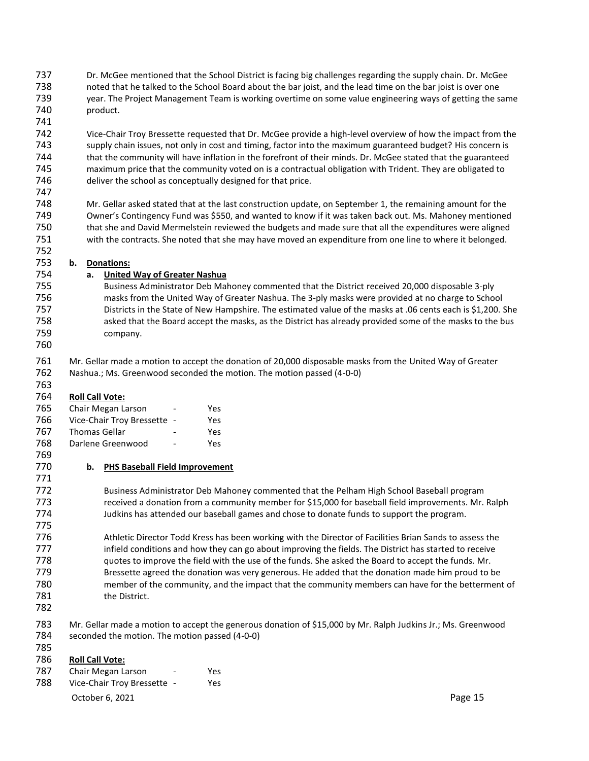- Dr. McGee mentioned that the School District is facing big challenges regarding the supply chain. Dr. McGee noted that he talked to the School Board about the bar joist, and the lead time on the bar joist is over one year. The Project Management Team is working overtime on some value engineering ways of getting the same product.
- 

 Vice-Chair Troy Bressette requested that Dr. McGee provide a high-level overview of how the impact from the supply chain issues, not only in cost and timing, factor into the maximum guaranteed budget? His concern is that the community will have inflation in the forefront of their minds. Dr. McGee stated that the guaranteed maximum price that the community voted on is a contractual obligation with Trident. They are obligated to deliver the school as conceptually designed for that price.

 Mr. Gellar asked stated that at the last construction update, on September 1, the remaining amount for the Owner's Contingency Fund was \$550, and wanted to know if it was taken back out. Ms. Mahoney mentioned that she and David Mermelstein reviewed the budgets and made sure that all the expenditures were aligned with the contracts. She noted that she may have moved an expenditure from one line to where it belonged.

# **b. Donations:**

# **a. United Way of Greater Nashua**

 Business Administrator Deb Mahoney commented that the District received 20,000 disposable 3-ply masks from the United Way of Greater Nashua. The 3-ply masks were provided at no charge to School Districts in the State of New Hampshire. The estimated value of the masks at .06 cents each is \$1,200. She asked that the Board accept the masks, as the District has already provided some of the masks to the bus company.

 Mr. Gellar made a motion to accept the donation of 20,000 disposable masks from the United Way of Greater Nashua.; Ms. Greenwood seconded the motion. The motion passed (4-0-0)

#### 763<br>764 **Roll Call Vote:**

| .   |                             |     |
|-----|-----------------------------|-----|
| 765 | Chair Megan Larson          | Yes |
| 766 | Vice-Chair Troy Bressette - | Yes |
| 767 | <b>Thomas Gellar</b>        | Yes |
| 768 | Darlene Greenwood           | Yes |

#### **b. PHS Baseball Field Improvement**

 Business Administrator Deb Mahoney commented that the Pelham High School Baseball program 773 received a donation from a community member for \$15,000 for baseball field improvements. Mr. Ralph Judkins has attended our baseball games and chose to donate funds to support the program.

 Athletic Director Todd Kress has been working with the Director of Facilities Brian Sands to assess the 777 infield conditions and how they can go about improving the fields. The District has started to receive quotes to improve the field with the use of the funds. She asked the Board to accept the funds. Mr. Bressette agreed the donation was very generous. He added that the donation made him proud to be member of the community, and the impact that the community members can have for the betterment of 781 the District.

 Mr. Gellar made a motion to accept the generous donation of \$15,000 by Mr. Ralph Judkins Jr.; Ms. Greenwood seconded the motion. The motion passed (4-0-0)

# **Roll Call Vote:**

787 Chair Megan Larson - Yes Vice-Chair Troy Bressette - Yes

October 6, 2021 **Page 15**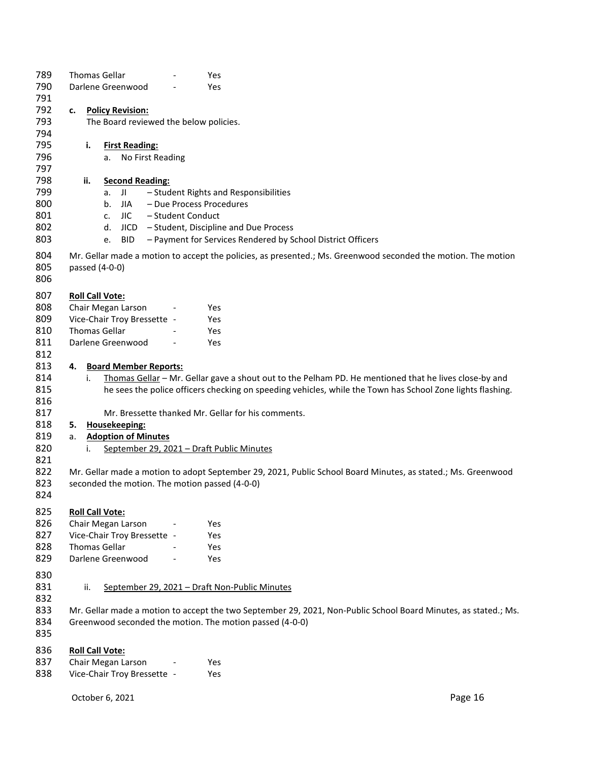| 789        |                                                                                                                 | <b>Thomas Gellar</b>                                              |                              |                   | Yes                                                                                                           |         |
|------------|-----------------------------------------------------------------------------------------------------------------|-------------------------------------------------------------------|------------------------------|-------------------|---------------------------------------------------------------------------------------------------------------|---------|
| 790<br>791 | Darlene Greenwood                                                                                               |                                                                   |                              |                   | Yes                                                                                                           |         |
| 792        | c.                                                                                                              |                                                                   |                              |                   |                                                                                                               |         |
| 793        |                                                                                                                 | <b>Policy Revision:</b><br>The Board reviewed the below policies. |                              |                   |                                                                                                               |         |
| 794        |                                                                                                                 |                                                                   |                              |                   |                                                                                                               |         |
| 795        |                                                                                                                 | i.                                                                | <b>First Reading:</b>        |                   |                                                                                                               |         |
| 796        |                                                                                                                 | a.                                                                | No First Reading             |                   |                                                                                                               |         |
| 797        |                                                                                                                 |                                                                   |                              |                   |                                                                                                               |         |
| 798        |                                                                                                                 | ii.                                                               | <b>Second Reading:</b>       |                   |                                                                                                               |         |
| 799        |                                                                                                                 | a.                                                                | JI                           |                   | - Student Rights and Responsibilities                                                                         |         |
| 800        |                                                                                                                 | b.                                                                | <b>JIA</b>                   |                   | - Due Process Procedures                                                                                      |         |
| 801        |                                                                                                                 | c.                                                                | JIC                          | - Student Conduct |                                                                                                               |         |
| 802        |                                                                                                                 | d.                                                                | <b>JICD</b>                  |                   | - Student, Discipline and Due Process                                                                         |         |
| 803        |                                                                                                                 | e.                                                                | <b>BID</b>                   |                   | - Payment for Services Rendered by School District Officers                                                   |         |
|            |                                                                                                                 |                                                                   |                              |                   |                                                                                                               |         |
| 804        |                                                                                                                 |                                                                   |                              |                   | Mr. Gellar made a motion to accept the policies, as presented.; Ms. Greenwood seconded the motion. The motion |         |
| 805        |                                                                                                                 | passed (4-0-0)                                                    |                              |                   |                                                                                                               |         |
| 806        |                                                                                                                 |                                                                   |                              |                   |                                                                                                               |         |
| 807        |                                                                                                                 | <b>Roll Call Vote:</b>                                            |                              |                   |                                                                                                               |         |
| 808        |                                                                                                                 |                                                                   | Chair Megan Larson           |                   | Yes                                                                                                           |         |
| 809        |                                                                                                                 |                                                                   | Vice-Chair Troy Bressette -  |                   | Yes                                                                                                           |         |
| 810        |                                                                                                                 | <b>Thomas Gellar</b>                                              |                              |                   | Yes                                                                                                           |         |
| 811        |                                                                                                                 |                                                                   | Darlene Greenwood            |                   | Yes                                                                                                           |         |
| 812        |                                                                                                                 |                                                                   |                              |                   |                                                                                                               |         |
| 813        | 4.                                                                                                              |                                                                   | <b>Board Member Reports:</b> |                   |                                                                                                               |         |
| 814        |                                                                                                                 | i.                                                                |                              |                   | Thomas Gellar - Mr. Gellar gave a shout out to the Pelham PD. He mentioned that he lives close-by and         |         |
| 815        |                                                                                                                 |                                                                   |                              |                   | he sees the police officers checking on speeding vehicles, while the Town has School Zone lights flashing.    |         |
| 816        |                                                                                                                 |                                                                   |                              |                   |                                                                                                               |         |
| 817        |                                                                                                                 |                                                                   |                              |                   | Mr. Bressette thanked Mr. Gellar for his comments.                                                            |         |
| 818        | 5.                                                                                                              |                                                                   | Housekeeping:                |                   |                                                                                                               |         |
| 819        | a.                                                                                                              |                                                                   | <b>Adoption of Minutes</b>   |                   |                                                                                                               |         |
| 820        |                                                                                                                 | i.                                                                |                              |                   | September 29, 2021 - Draft Public Minutes                                                                     |         |
| 821        |                                                                                                                 |                                                                   |                              |                   |                                                                                                               |         |
| 822        |                                                                                                                 |                                                                   |                              |                   | Mr. Gellar made a motion to adopt September 29, 2021, Public School Board Minutes, as stated.; Ms. Greenwood  |         |
| 823        |                                                                                                                 |                                                                   |                              |                   | seconded the motion. The motion passed (4-0-0)                                                                |         |
| 824        |                                                                                                                 |                                                                   |                              |                   |                                                                                                               |         |
|            |                                                                                                                 |                                                                   |                              |                   |                                                                                                               |         |
| 825        |                                                                                                                 | <b>Roll Call Vote:</b>                                            |                              |                   |                                                                                                               |         |
| 826        |                                                                                                                 |                                                                   | Chair Megan Larson           |                   | Yes                                                                                                           |         |
| 827        |                                                                                                                 |                                                                   | Vice-Chair Troy Bressette -  |                   | Yes                                                                                                           |         |
| 828        |                                                                                                                 | Thomas Gellar                                                     |                              |                   | Yes                                                                                                           |         |
| 829        |                                                                                                                 |                                                                   | Darlene Greenwood            |                   | Yes                                                                                                           |         |
| 830        |                                                                                                                 |                                                                   |                              |                   |                                                                                                               |         |
| 831        |                                                                                                                 | ii.                                                               |                              |                   | September 29, 2021 - Draft Non-Public Minutes                                                                 |         |
| 832        |                                                                                                                 |                                                                   |                              |                   |                                                                                                               |         |
| 833        | Mr. Gellar made a motion to accept the two September 29, 2021, Non-Public School Board Minutes, as stated.; Ms. |                                                                   |                              |                   |                                                                                                               |         |
| 834        |                                                                                                                 |                                                                   |                              |                   | Greenwood seconded the motion. The motion passed (4-0-0)                                                      |         |
| 835        |                                                                                                                 |                                                                   |                              |                   |                                                                                                               |         |
|            |                                                                                                                 |                                                                   |                              |                   |                                                                                                               |         |
| 836        |                                                                                                                 | <b>Roll Call Vote:</b>                                            |                              |                   |                                                                                                               |         |
| 837        |                                                                                                                 |                                                                   | Chair Megan Larson           |                   | Yes                                                                                                           |         |
| 838        |                                                                                                                 |                                                                   | Vice-Chair Troy Bressette -  |                   | Yes                                                                                                           |         |
|            |                                                                                                                 |                                                                   |                              |                   |                                                                                                               |         |
|            |                                                                                                                 | October 6, 2021                                                   |                              |                   |                                                                                                               | Page 16 |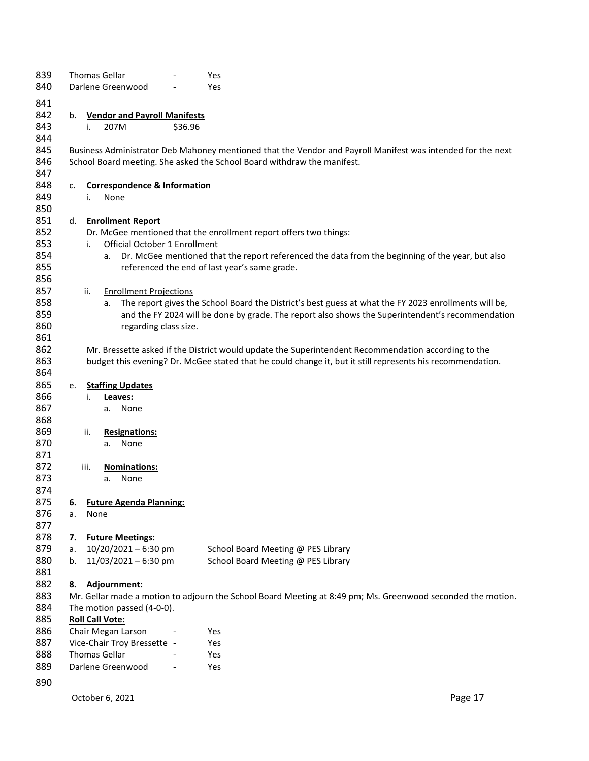| 839 |    |      | <b>Thomas Gellar</b>                    |         | Yes                                                                                                         |
|-----|----|------|-----------------------------------------|---------|-------------------------------------------------------------------------------------------------------------|
| 840 |    |      | Darlene Greenwood                       |         | Yes                                                                                                         |
| 841 |    |      |                                         |         |                                                                                                             |
| 842 | b. |      | <b>Vendor and Payroll Manifests</b>     |         |                                                                                                             |
| 843 |    |      |                                         |         |                                                                                                             |
|     |    | i.   | 207M                                    | \$36.96 |                                                                                                             |
| 844 |    |      |                                         |         |                                                                                                             |
| 845 |    |      |                                         |         | Business Administrator Deb Mahoney mentioned that the Vendor and Payroll Manifest was intended for the next |
| 846 |    |      |                                         |         | School Board meeting. She asked the School Board withdraw the manifest.                                     |
| 847 |    |      |                                         |         |                                                                                                             |
| 848 | c. |      | <b>Correspondence &amp; Information</b> |         |                                                                                                             |
| 849 |    | i.   | None                                    |         |                                                                                                             |
| 850 |    |      |                                         |         |                                                                                                             |
| 851 | d. |      | <b>Enrollment Report</b>                |         |                                                                                                             |
| 852 |    |      |                                         |         | Dr. McGee mentioned that the enrollment report offers two things:                                           |
| 853 |    | i.   | Official October 1 Enrollment           |         |                                                                                                             |
| 854 |    |      | a.                                      |         | Dr. McGee mentioned that the report referenced the data from the beginning of the year, but also            |
| 855 |    |      |                                         |         | referenced the end of last year's same grade.                                                               |
| 856 |    |      |                                         |         |                                                                                                             |
| 857 |    | ii.  | <b>Enrollment Projections</b>           |         |                                                                                                             |
| 858 |    |      | а.                                      |         | The report gives the School Board the District's best guess at what the FY 2023 enrollments will be,        |
| 859 |    |      |                                         |         | and the FY 2024 will be done by grade. The report also shows the Superintendent's recommendation            |
| 860 |    |      | regarding class size.                   |         |                                                                                                             |
| 861 |    |      |                                         |         |                                                                                                             |
| 862 |    |      |                                         |         | Mr. Bressette asked if the District would update the Superintendent Recommendation according to the         |
| 863 |    |      |                                         |         | budget this evening? Dr. McGee stated that he could change it, but it still represents his recommendation.  |
| 864 |    |      |                                         |         |                                                                                                             |
| 865 | e. |      | <b>Staffing Updates</b>                 |         |                                                                                                             |
| 866 |    | i.   | Leaves:                                 |         |                                                                                                             |
| 867 |    |      | None<br>а.                              |         |                                                                                                             |
| 868 |    |      |                                         |         |                                                                                                             |
| 869 |    | ii.  | <b>Resignations:</b>                    |         |                                                                                                             |
| 870 |    |      | None<br>a.                              |         |                                                                                                             |
| 871 |    |      |                                         |         |                                                                                                             |
| 872 |    | iii. |                                         |         |                                                                                                             |
| 873 |    |      | Nominations:<br>None                    |         |                                                                                                             |
|     |    |      | a.                                      |         |                                                                                                             |
| 874 |    |      |                                         |         |                                                                                                             |
| 875 | 6. |      | <b>Future Agenda Planning:</b>          |         |                                                                                                             |
| 876 | a. | None |                                         |         |                                                                                                             |
| 877 |    |      |                                         |         |                                                                                                             |
| 878 | 7. |      | <b>Future Meetings:</b>                 |         |                                                                                                             |
| 879 | a. |      | $10/20/2021 - 6:30$ pm                  |         | School Board Meeting @ PES Library                                                                          |
| 880 | b. |      | $11/03/2021 - 6:30$ pm                  |         | School Board Meeting @ PES Library                                                                          |
| 881 |    |      |                                         |         |                                                                                                             |
| 882 | 8. |      | Adjournment:                            |         |                                                                                                             |
| 883 |    |      |                                         |         | Mr. Gellar made a motion to adjourn the School Board Meeting at 8:49 pm; Ms. Greenwood seconded the motion. |
| 884 |    |      | The motion passed (4-0-0).              |         |                                                                                                             |
| 885 |    |      | <b>Roll Call Vote:</b>                  |         |                                                                                                             |
| 886 |    |      | Chair Megan Larson                      |         | Yes                                                                                                         |
| 887 |    |      | Vice-Chair Troy Bressette -             |         | Yes                                                                                                         |
| 888 |    |      | <b>Thomas Gellar</b>                    |         | Yes                                                                                                         |
| 889 |    |      | Darlene Greenwood                       |         | Yes                                                                                                         |
|     |    |      |                                         |         |                                                                                                             |
| 890 |    |      |                                         |         |                                                                                                             |

October 6, 2021 **Page 17**